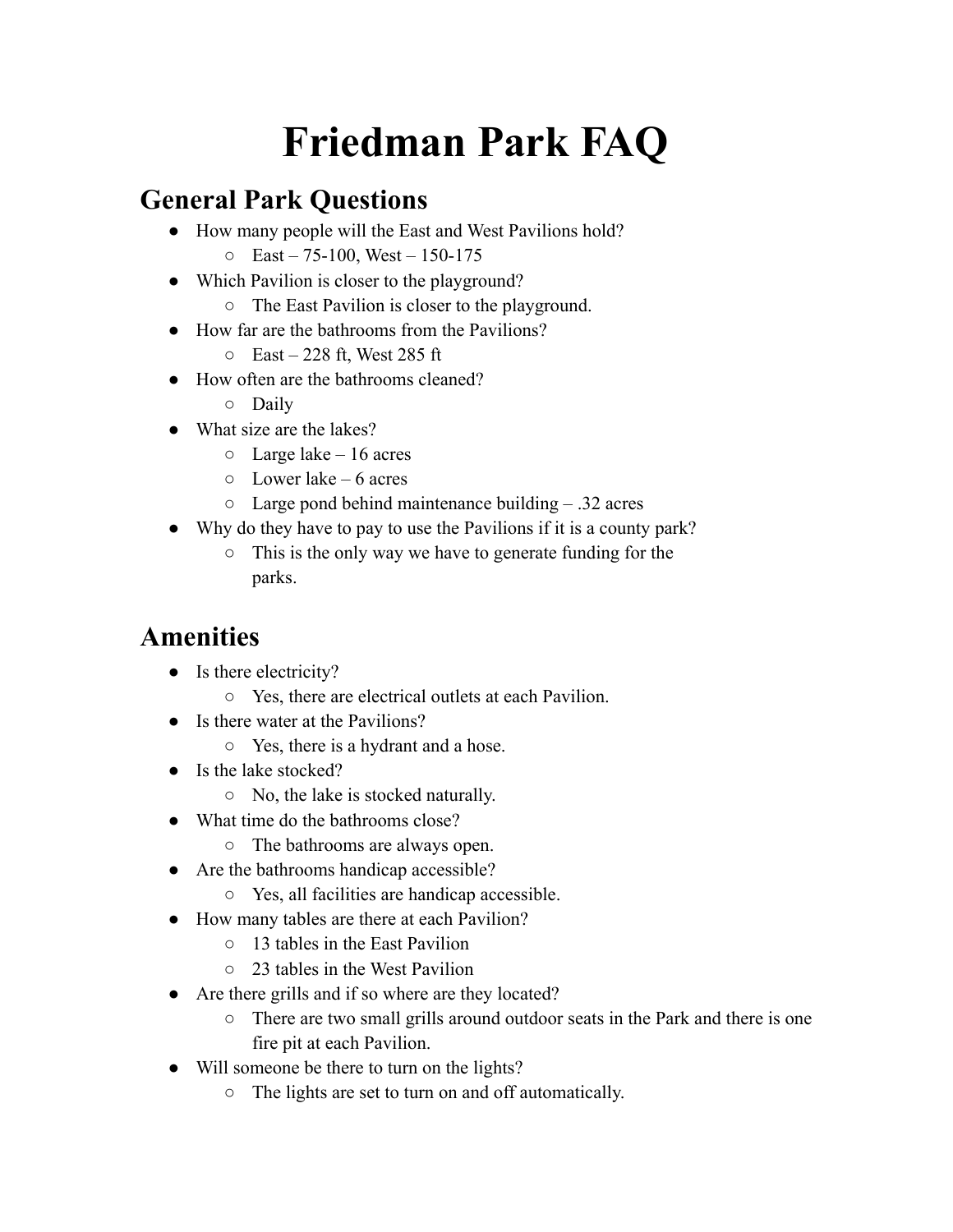# **Friedman Park FAQ**

#### **General Park Questions**

- How many people will the East and West Pavilions hold?
	- $O$  East 75-100, West 150-175
- Which Pavilion is closer to the playground?
	- The East Pavilion is closer to the playground.
- How far are the bathrooms from the Pavilions?
	- $O$  East 228 ft, West 285 ft
- How often are the bathrooms cleaned?
	- Daily
- What size are the lakes?
	- $\circ$  Large lake 16 acres
	- $\circ$  Lower lake 6 acres
	- $\circ$  Large pond behind maintenance building  $.32$  acres
- Why do they have to pay to use the Pavilions if it is a county park?
	- This is the only way we have to generate funding for the parks.

## **Amenities**

- Is there electricity?
	- Yes, there are electrical outlets at each Pavilion.
- Is there water at the Pavilions?
	- Yes, there is a hydrant and a hose.
- Is the lake stocked?
	- No, the lake is stocked naturally.
- What time do the bathrooms close?
	- The bathrooms are always open.
- Are the bathrooms handicap accessible?
	- Yes, all facilities are handicap accessible.
- How many tables are there at each Pavilion?
	- 13 tables in the East Pavilion
	- 23 tables in the West Pavilion
- Are there grills and if so where are they located?
	- There are two small grills around outdoor seats in the Park and there is one fire pit at each Pavilion.
- Will someone be there to turn on the lights?
	- The lights are set to turn on and off automatically.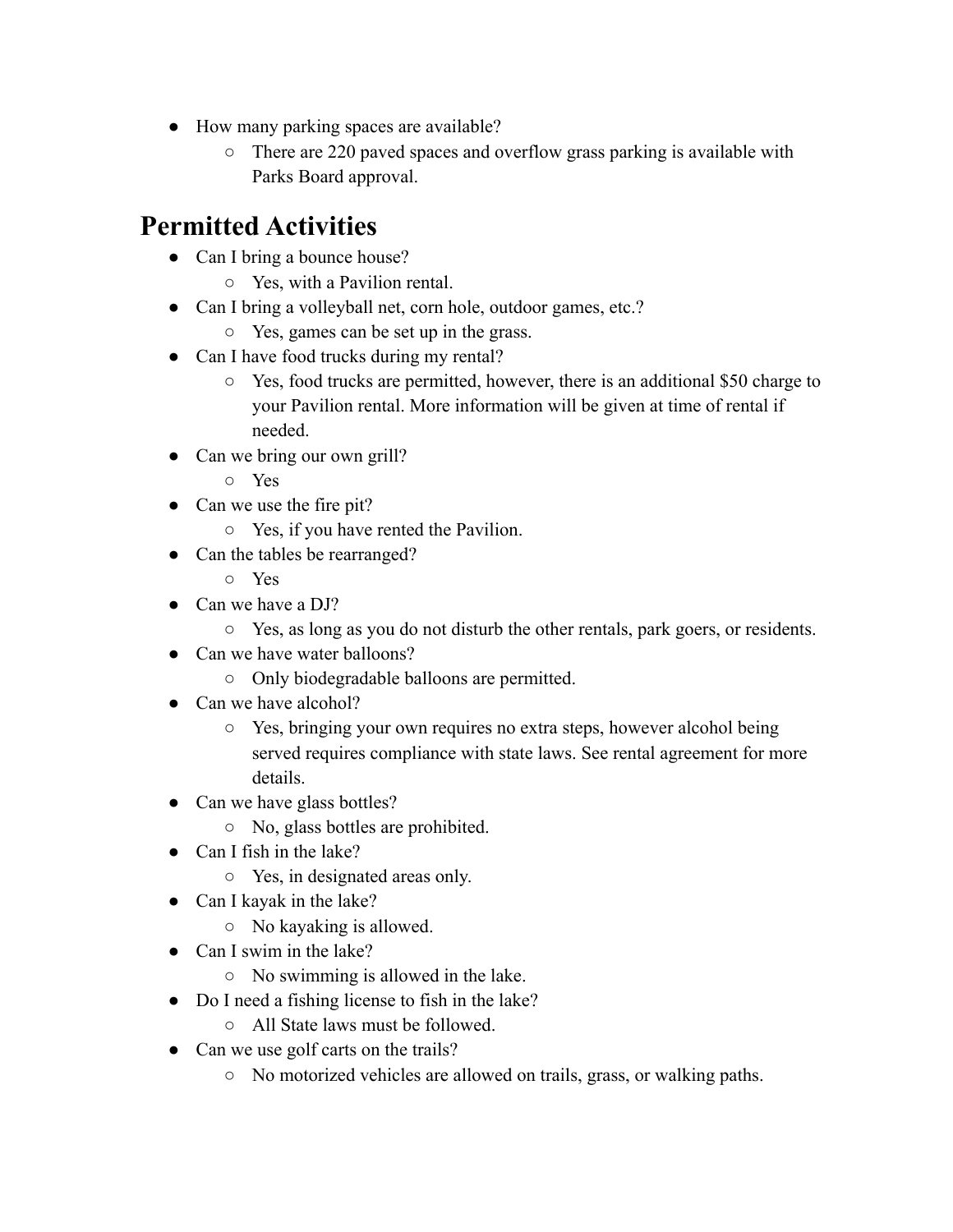- How many parking spaces are available?
	- There are 220 paved spaces and overflow grass parking is available with Parks Board approval.

#### **Permitted Activities**

- Can I bring a bounce house?
	- Yes, with a Pavilion rental.
- Can I bring a volleyball net, corn hole, outdoor games, etc.?
	- Yes, games can be set up in the grass.
- Can I have food trucks during my rental?
	- Yes, food trucks are permitted, however, there is an additional \$50 charge to your Pavilion rental. More information will be given at time of rental if needed.
- Can we bring our own grill?
	- Yes
- Can we use the fire pit?
	- Yes, if you have rented the Pavilion.
- Can the tables be rearranged?
	- Yes
- Can we have a DJ?
	- Yes, as long as you do not disturb the other rentals, park goers, or residents.
- Can we have water balloons?
	- Only biodegradable balloons are permitted.
- Can we have alcohol?
	- Yes, bringing your own requires no extra steps, however alcohol being served requires compliance with state laws. See rental agreement for more details.
- Can we have glass bottles?
	- No, glass bottles are prohibited.
- Can I fish in the lake?
	- Yes, in designated areas only.
- Can I kayak in the lake?
	- No kayaking is allowed.
- Can I swim in the lake?
	- No swimming is allowed in the lake.
- Do I need a fishing license to fish in the lake?
	- All State laws must be followed.
- Can we use golf carts on the trails?
	- No motorized vehicles are allowed on trails, grass, or walking paths.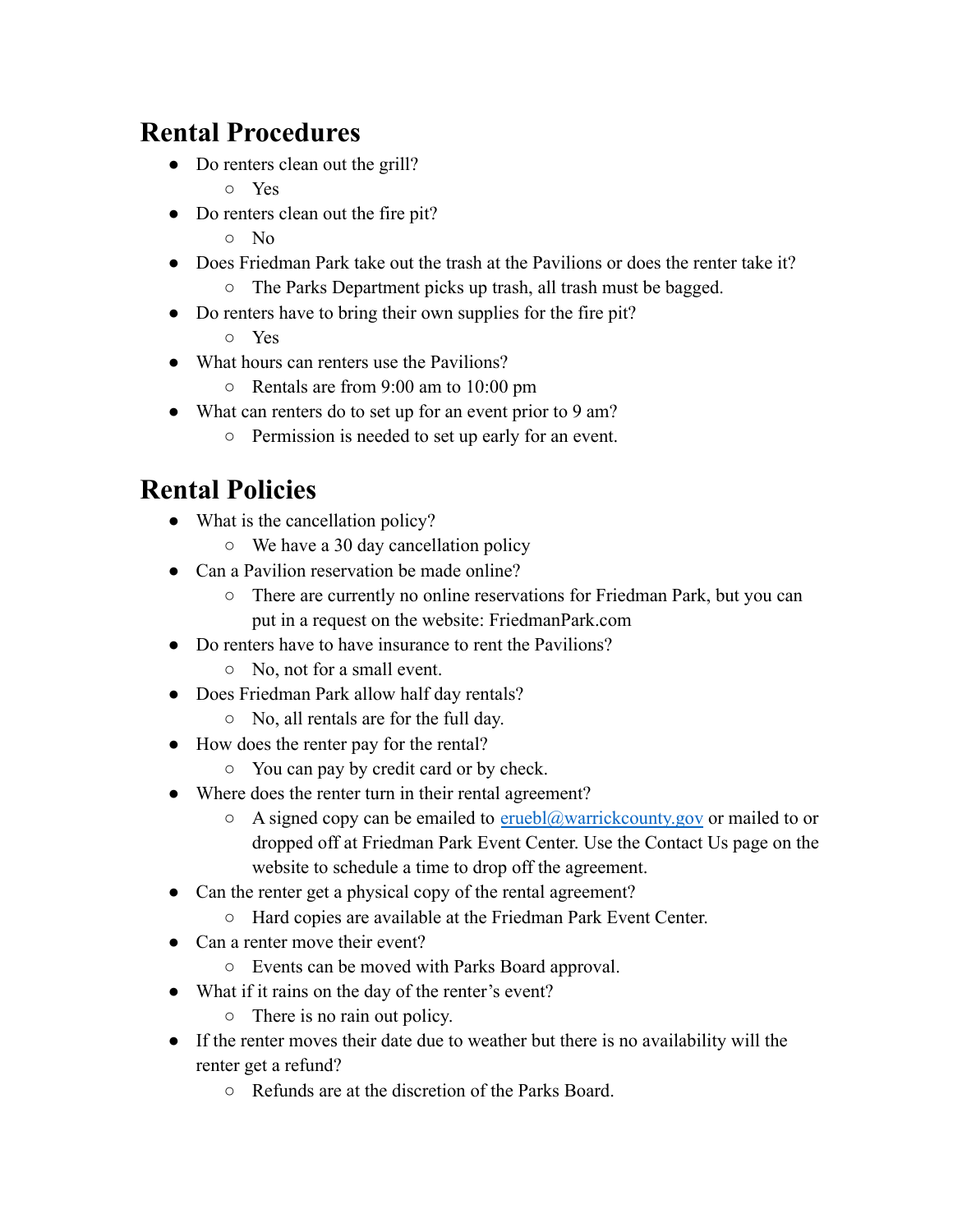## **Rental Procedures**

- Do renters clean out the grill?
	- Yes
- Do renters clean out the fire pit?
	- No
- Does Friedman Park take out the trash at the Pavilions or does the renter take it?
	- The Parks Department picks up trash, all trash must be bagged.
- Do renters have to bring their own supplies for the fire pit?
	- Yes
- What hours can renters use the Pavilions?
	- Rentals are from 9:00 am to 10:00 pm
- What can renters do to set up for an event prior to 9 am?
	- Permission is needed to set up early for an event.

# **Rental Policies**

- What is the cancellation policy?
	- We have a 30 day cancellation policy
- Can a Pavilion reservation be made online?
	- There are currently no online reservations for Friedman Park, but you can put in a request on the website: FriedmanPark.com
- Do renters have to have insurance to rent the Pavilions?
	- No, not for a small event.
- Does Friedman Park allow half day rentals?
	- No, all rentals are for the full day.
- How does the renter pay for the rental?
	- You can pay by credit card or by check.
- Where does the renter turn in their rental agreement?
	- $\circ$  A signed copy can be emailed to eruebl@warrickcounty.gov or mailed to or dropped off at Friedman Park Event Center. Use the Contact Us page on the website to schedule a time to drop off the agreement.
- Can the renter get a physical copy of the rental agreement?
	- Hard copies are available at the Friedman Park Event Center.
- Can a renter move their event?
	- Events can be moved with Parks Board approval.
- What if it rains on the day of the renter's event?
	- There is no rain out policy.
- If the renter moves their date due to weather but there is no availability will the renter get a refund?
	- Refunds are at the discretion of the Parks Board.